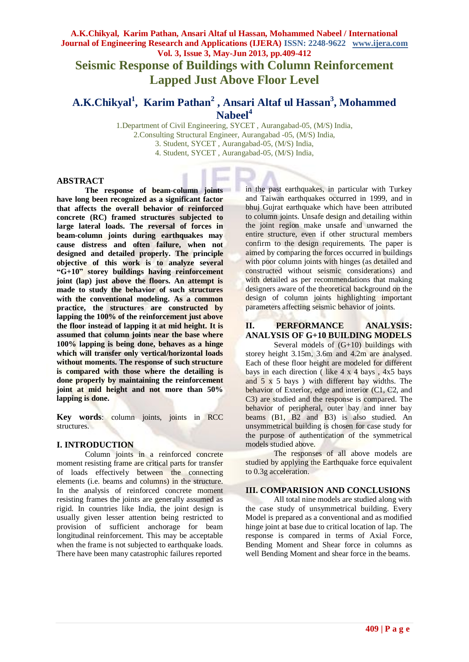**Seismic Response of Buildings with Column Reinforcement Lapped Just Above Floor Level**

# **A.K.Chikyal<sup>1</sup> , Karim Pathan<sup>2</sup> , Ansari Altaf ul Hassan<sup>3</sup> , Mohammed Nabeel 4**

1.Department of Civil Engineering, SYCET , Aurangabad-05, (M/S) India, 2.Consulting Structural Engineer, Aurangabad -05, (M/S) India, 3. Student, SYCET , Aurangabad-05, (M/S) India, 4. Student, SYCET , Aurangabad-05, (M/S) India,

#### **ABSTRACT**

**The response of beam-column joints have long been recognized as a significant factor that affects the overall behavior of reinforced concrete (RC) framed structures subjected to large lateral loads. The reversal of forces in beam-column joints during earthquakes may cause distress and often failure, when not designed and detailed properly. The principle objective of this work is to analyze several "G+10" storey buildings having reinforcement joint (lap) just above the floors. An attempt is made to study the behavior of such structures with the conventional modeling. As a common practice, the structures are constructed by lapping the 100% of the reinforcement just above the floor instead of lapping it at mid height. It is assumed that column joints near the base where 100% lapping is being done, behaves as a hinge which will transfer only vertical/horizontal loads without moments. The response of such structure is compared with those where the detailing is done properly by maintaining the reinforcement joint at mid height and not more than 50% lapping is done.** 

**Key words**: column joints, joints in RCC structures.

#### **I. INTRODUCTION**

Column joints in a reinforced concrete moment resisting frame are critical parts for transfer of loads effectively between the connecting elements (i.e. beams and columns) in the structure. In the analysis of reinforced concrete moment resisting frames the joints are generally assumed as rigid. In countries like India, the joint design is usually given lesser attention being restricted to provision of sufficient anchorage for beam longitudinal reinforcement. This may be acceptable when the frame is not subjected to earthquake loads. There have been many catastrophic failures reported in the past earthquakes, in particular with Turkey and Taiwan earthquakes occurred in 1999, and in bhuj Gujrat earthquake which have been attributed to column joints. Unsafe design and detailing within the joint region make unsafe and unwarned the entire structure, even if other structural members confirm to the design requirements. The paper is aimed by comparing the forces occurred in buildings with poor column joints with hinges (as detailed and constructed without seismic considerations) and with detailed as per recommendations that making designers aware of the theoretical background on the design of column joints highlighting important parameters affecting seismic behavior of joints.

# **II. PERFORMANCE ANALYSIS: ANALYSIS OF G+10 BUILDING MODELS**

Several models of  $(G+10)$  buildings with storey height 3.15m, 3.6m and 4.2m are analysed. Each of these floor height are modeled for different bays in each direction ( like 4 x 4 bays , 4x5 bays and  $5 \times 5$  bays) with different bay widths. The behavior of Exterior, edge and interior (C1, C2, and C3) are studied and the response is compared. The behavior of peripheral, outer bay and inner bay beams (B1, B2 and B3) is also studied. An unsymmetrical building is chosen for case study for the purpose of authentication of the symmetrical models studied above.

The responses of all above models are studied by applying the Earthquake force equivalent to 0.3g acceleration.

#### **III. COMPARISION AND CONCLUSIONS**

All total nine models are studied along with the case study of unsymmetrical building. Every Model is prepared as a conventional and as modified hinge joint at base due to critical location of lap. The response is compared in terms of Axial Force, Bending Moment and Shear force in columns as well Bending Moment and shear force in the beams.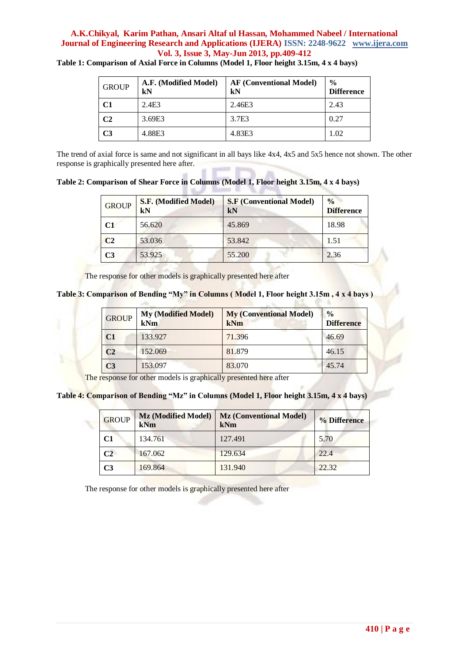| <b>GROUP</b>   | A.F. (Modified Model)<br>kN | <b>AF (Conventional Model)</b><br>kN | $\frac{0}{0}$<br><b>Difference</b> |
|----------------|-----------------------------|--------------------------------------|------------------------------------|
| C <sub>1</sub> | 2.4E3                       | 2.46E3                               | 2.43                               |
| C <sub>2</sub> | 3.69E3                      | 3.7E3                                | 0.27                               |
| C3             | 4.88E3                      | 4.83E3                               | 1.02                               |

**Table 1: Comparison of Axial Force in Columns (Model 1, Floor height 3.15m, 4 x 4 bays)**

The trend of axial force is same and not significant in all bays like 4x4, 4x5 and 5x5 hence not shown. The other response is graphically presented here after.

**Table 2: Comparison of Shear Force in Columns (Model 1, Floor height 3.15m, 4 x 4 bays)**

| <b>GROUP</b>   | S.F. (Modified Model)<br>kN | <b>S.F</b> (Conventional Model)<br>kN | $\frac{0}{0}$<br><b>Difference</b> |
|----------------|-----------------------------|---------------------------------------|------------------------------------|
| $\mathbf{C}$ 1 | 56.620                      | 45.869                                | 18.98                              |
| C <sub>2</sub> | 53.036                      | 53.842                                | 1.51                               |
| C3             | 53.925                      | 55.200                                | 2.36                               |

The response for other models is graphically presented here after

**Table 3: Comparison of Bending "My" in Columns ( Model 1, Floor height 3.15m , 4 x 4 bays )**

| <b>GROUP</b>   | <b>My (Modified Model)</b><br>kNm | <b>My (Conventional Model)</b><br>kNm | $\frac{0}{0}$<br><b>Difference</b> |
|----------------|-----------------------------------|---------------------------------------|------------------------------------|
| C1             | 133.927                           | 71.396                                | 46.69                              |
| C <sub>2</sub> | 152.069                           | 81.879                                | 46.15                              |
| C <sub>3</sub> | 153.097                           | 83.070                                | 45.74                              |

五生

The response for other models is graphically presented here after

**Table 4: Comparison of Bending "Mz" in Columns (Model 1, Floor height 3.15m, 4 x 4 bays)**

| <b>GROUP</b>   | Mz (Modified Model)<br>kNm | <b>Mz (Conventional Model)</b><br>kNm | % Difference |
|----------------|----------------------------|---------------------------------------|--------------|
| C1             | 134.761                    | 127.491                               | 5.70         |
| C <sub>2</sub> | 167.062                    | 129.634                               | 22.4         |
| C <sub>3</sub> | 169.864                    | 131.940                               | 22.32        |

The response for other models is graphically presented here after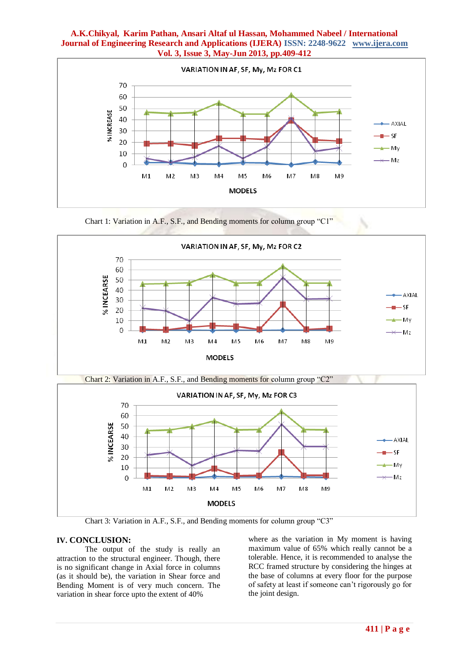







Chart 3: Variation in A.F., S.F., and Bending moments for column group "C3"

# **IV. CONCLUSION:**

The output of the study is really an attraction to the structural engineer. Though, there is no significant change in Axial force in columns (as it should be), the variation in Shear force and Bending Moment is of very much concern. The variation in shear force upto the extent of 40%

where as the variation in My moment is having maximum value of 65% which really cannot be a tolerable. Hence, it is recommended to analyse the RCC framed structure by considering the hinges at the base of columns at every floor for the purpose of safety at least if someone can't rigorously go for the joint design.